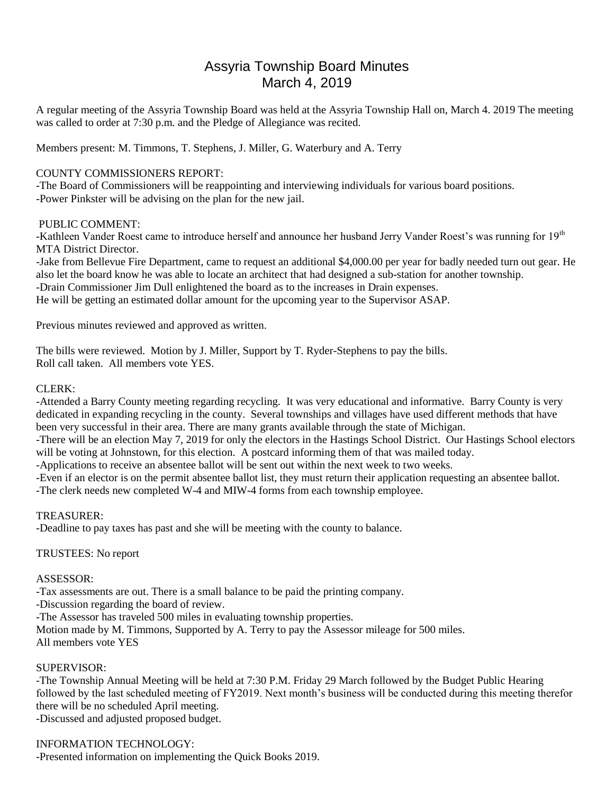# Assyria Township Board Minutes March 4, 2019

A regular meeting of the Assyria Township Board was held at the Assyria Township Hall on, March 4. 2019 The meeting was called to order at 7:30 p.m. and the Pledge of Allegiance was recited.

Members present: M. Timmons, T. Stephens, J. Miller, G. Waterbury and A. Terry

## COUNTY COMMISSIONERS REPORT:

-The Board of Commissioners will be reappointing and interviewing individuals for various board positions. -Power Pinkster will be advising on the plan for the new jail.

## PUBLIC COMMENT:

-Kathleen Vander Roest came to introduce herself and announce her husband Jerry Vander Roest's was running for 19<sup>th</sup> MTA District Director.

-Jake from Bellevue Fire Department, came to request an additional \$4,000.00 per year for badly needed turn out gear. He also let the board know he was able to locate an architect that had designed a sub-station for another township. -Drain Commissioner Jim Dull enlightened the board as to the increases in Drain expenses. He will be getting an estimated dollar amount for the upcoming year to the Supervisor ASAP.

Previous minutes reviewed and approved as written.

The bills were reviewed. Motion by J. Miller, Support by T. Ryder-Stephens to pay the bills. Roll call taken. All members vote YES.

## CLERK:

-Attended a Barry County meeting regarding recycling. It was very educational and informative. Barry County is very dedicated in expanding recycling in the county. Several townships and villages have used different methods that have been very successful in their area. There are many grants available through the state of Michigan.

-There will be an election May 7, 2019 for only the electors in the Hastings School District. Our Hastings School electors will be voting at Johnstown, for this election. A postcard informing them of that was mailed today.

-Applications to receive an absentee ballot will be sent out within the next week to two weeks.

-Even if an elector is on the permit absentee ballot list, they must return their application requesting an absentee ballot. -The clerk needs new completed W-4 and MIW-4 forms from each township employee.

# TREASURER:

-Deadline to pay taxes has past and she will be meeting with the county to balance.

#### TRUSTEES: No report

#### ASSESSOR:

-Tax assessments are out. There is a small balance to be paid the printing company.

-Discussion regarding the board of review.

-The Assessor has traveled 500 miles in evaluating township properties.

Motion made by M. Timmons, Supported by A. Terry to pay the Assessor mileage for 500 miles. All members vote YES

# SUPERVISOR:

-The Township Annual Meeting will be held at 7:30 P.M. Friday 29 March followed by the Budget Public Hearing followed by the last scheduled meeting of FY2019. Next month's business will be conducted during this meeting therefor there will be no scheduled April meeting.

-Discussed and adjusted proposed budget.

# INFORMATION TECHNOLOGY:

-Presented information on implementing the Quick Books 2019.